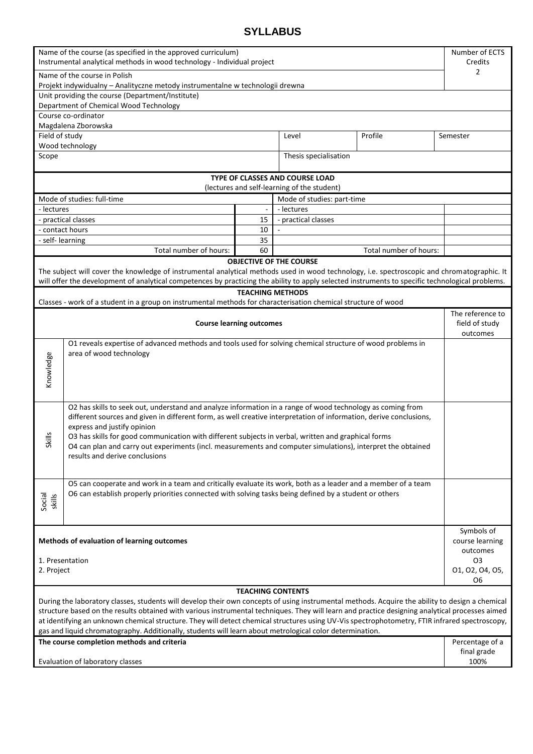## **SYLLABUS**

| Name of the course (as specified in the approved curriculum)<br>Instrumental analytical methods in wood technology - Individual project                                                                                                                                                                                                                                                                                                                                                                                                                                                      |                                                                                                                                                                                                                                                                                                                                                                                                                                                                                                                         |    |                     |                        | Number of ECTS<br>Credits<br>2                 |
|----------------------------------------------------------------------------------------------------------------------------------------------------------------------------------------------------------------------------------------------------------------------------------------------------------------------------------------------------------------------------------------------------------------------------------------------------------------------------------------------------------------------------------------------------------------------------------------------|-------------------------------------------------------------------------------------------------------------------------------------------------------------------------------------------------------------------------------------------------------------------------------------------------------------------------------------------------------------------------------------------------------------------------------------------------------------------------------------------------------------------------|----|---------------------|------------------------|------------------------------------------------|
| Name of the course in Polish                                                                                                                                                                                                                                                                                                                                                                                                                                                                                                                                                                 |                                                                                                                                                                                                                                                                                                                                                                                                                                                                                                                         |    |                     |                        |                                                |
| Projekt indywidualny - Analityczne metody instrumentalne w technologii drewna<br>Unit providing the course (Department/Institute)                                                                                                                                                                                                                                                                                                                                                                                                                                                            |                                                                                                                                                                                                                                                                                                                                                                                                                                                                                                                         |    |                     |                        |                                                |
| Department of Chemical Wood Technology                                                                                                                                                                                                                                                                                                                                                                                                                                                                                                                                                       |                                                                                                                                                                                                                                                                                                                                                                                                                                                                                                                         |    |                     |                        |                                                |
| Course co-ordinator                                                                                                                                                                                                                                                                                                                                                                                                                                                                                                                                                                          |                                                                                                                                                                                                                                                                                                                                                                                                                                                                                                                         |    |                     |                        |                                                |
| Magdalena Zborowska                                                                                                                                                                                                                                                                                                                                                                                                                                                                                                                                                                          |                                                                                                                                                                                                                                                                                                                                                                                                                                                                                                                         |    |                     |                        |                                                |
| Field of study                                                                                                                                                                                                                                                                                                                                                                                                                                                                                                                                                                               |                                                                                                                                                                                                                                                                                                                                                                                                                                                                                                                         |    | Level               | Profile                | Semester                                       |
| Wood technology                                                                                                                                                                                                                                                                                                                                                                                                                                                                                                                                                                              |                                                                                                                                                                                                                                                                                                                                                                                                                                                                                                                         |    |                     |                        |                                                |
| Thesis specialisation<br>Scope                                                                                                                                                                                                                                                                                                                                                                                                                                                                                                                                                               |                                                                                                                                                                                                                                                                                                                                                                                                                                                                                                                         |    |                     |                        |                                                |
| TYPE OF CLASSES AND COURSE LOAD<br>(lectures and self-learning of the student)                                                                                                                                                                                                                                                                                                                                                                                                                                                                                                               |                                                                                                                                                                                                                                                                                                                                                                                                                                                                                                                         |    |                     |                        |                                                |
| Mode of studies: full-time<br>Mode of studies: part-time                                                                                                                                                                                                                                                                                                                                                                                                                                                                                                                                     |                                                                                                                                                                                                                                                                                                                                                                                                                                                                                                                         |    |                     |                        |                                                |
| - lectures                                                                                                                                                                                                                                                                                                                                                                                                                                                                                                                                                                                   |                                                                                                                                                                                                                                                                                                                                                                                                                                                                                                                         |    | - lectures          |                        |                                                |
| - practical classes                                                                                                                                                                                                                                                                                                                                                                                                                                                                                                                                                                          |                                                                                                                                                                                                                                                                                                                                                                                                                                                                                                                         | 15 | - practical classes |                        |                                                |
| - contact hours                                                                                                                                                                                                                                                                                                                                                                                                                                                                                                                                                                              |                                                                                                                                                                                                                                                                                                                                                                                                                                                                                                                         | 10 |                     |                        |                                                |
| - self- learning                                                                                                                                                                                                                                                                                                                                                                                                                                                                                                                                                                             |                                                                                                                                                                                                                                                                                                                                                                                                                                                                                                                         | 35 |                     |                        |                                                |
|                                                                                                                                                                                                                                                                                                                                                                                                                                                                                                                                                                                              | Total number of hours:                                                                                                                                                                                                                                                                                                                                                                                                                                                                                                  | 60 |                     | Total number of hours: |                                                |
| <b>OBJECTIVE OF THE COURSE</b>                                                                                                                                                                                                                                                                                                                                                                                                                                                                                                                                                               |                                                                                                                                                                                                                                                                                                                                                                                                                                                                                                                         |    |                     |                        |                                                |
| The subject will cover the knowledge of instrumental analytical methods used in wood technology, i.e. spectroscopic and chromatographic. It<br>will offer the development of analytical competences by practicing the ability to apply selected instruments to specific technological problems.                                                                                                                                                                                                                                                                                              |                                                                                                                                                                                                                                                                                                                                                                                                                                                                                                                         |    |                     |                        |                                                |
| <b>TEACHING METHODS</b>                                                                                                                                                                                                                                                                                                                                                                                                                                                                                                                                                                      |                                                                                                                                                                                                                                                                                                                                                                                                                                                                                                                         |    |                     |                        |                                                |
| Classes - work of a student in a group on instrumental methods for characterisation chemical structure of wood                                                                                                                                                                                                                                                                                                                                                                                                                                                                               |                                                                                                                                                                                                                                                                                                                                                                                                                                                                                                                         |    |                     |                        |                                                |
| <b>Course learning outcomes</b>                                                                                                                                                                                                                                                                                                                                                                                                                                                                                                                                                              |                                                                                                                                                                                                                                                                                                                                                                                                                                                                                                                         |    |                     |                        | The reference to<br>field of study<br>outcomes |
| O1 reveals expertise of advanced methods and tools used for solving chemical structure of wood problems in<br>area of wood technology<br>Knowledge                                                                                                                                                                                                                                                                                                                                                                                                                                           |                                                                                                                                                                                                                                                                                                                                                                                                                                                                                                                         |    |                     |                        |                                                |
| <b>Skills</b>                                                                                                                                                                                                                                                                                                                                                                                                                                                                                                                                                                                | O2 has skills to seek out, understand and analyze information in a range of wood technology as coming from<br>different sources and given in different form, as well creative interpretation of information, derive conclusions,<br>express and justify opinion<br>O3 has skills for good communication with different subjects in verbal, written and graphical forms<br>O4 can plan and carry out experiments (incl. measurements and computer simulations), interpret the obtained<br>results and derive conclusions |    |                     |                        |                                                |
| Social<br>skills                                                                                                                                                                                                                                                                                                                                                                                                                                                                                                                                                                             | O5 can cooperate and work in a team and critically evaluate its work, both as a leader and a member of a team<br>O6 can establish properly priorities connected with solving tasks being defined by a student or others                                                                                                                                                                                                                                                                                                 |    |                     |                        |                                                |
| Methods of evaluation of learning outcomes                                                                                                                                                                                                                                                                                                                                                                                                                                                                                                                                                   |                                                                                                                                                                                                                                                                                                                                                                                                                                                                                                                         |    |                     |                        | Symbols of<br>course learning<br>outcomes      |
| 1. Presentation                                                                                                                                                                                                                                                                                                                                                                                                                                                                                                                                                                              |                                                                                                                                                                                                                                                                                                                                                                                                                                                                                                                         |    |                     |                        | O <sub>3</sub>                                 |
| 2. Project                                                                                                                                                                                                                                                                                                                                                                                                                                                                                                                                                                                   |                                                                                                                                                                                                                                                                                                                                                                                                                                                                                                                         |    |                     |                        | 01, 02, 04, 05,                                |
| 06                                                                                                                                                                                                                                                                                                                                                                                                                                                                                                                                                                                           |                                                                                                                                                                                                                                                                                                                                                                                                                                                                                                                         |    |                     |                        |                                                |
| <b>TEACHING CONTENTS</b><br>During the laboratory classes, students will develop their own concepts of using instrumental methods. Acquire the ability to design a chemical<br>structure based on the results obtained with various instrumental techniques. They will learn and practice designing analytical processes aimed<br>at identifying an unknown chemical structure. They will detect chemical structures using UV-Vis spectrophotometry, FTIR infrared spectroscopy,<br>gas and liquid chromatography. Additionally, students will learn about metrological color determination. |                                                                                                                                                                                                                                                                                                                                                                                                                                                                                                                         |    |                     |                        |                                                |
| The course completion methods and criteria                                                                                                                                                                                                                                                                                                                                                                                                                                                                                                                                                   |                                                                                                                                                                                                                                                                                                                                                                                                                                                                                                                         |    |                     |                        | Percentage of a<br>final grade                 |
| Evaluation of laboratory classes                                                                                                                                                                                                                                                                                                                                                                                                                                                                                                                                                             |                                                                                                                                                                                                                                                                                                                                                                                                                                                                                                                         |    |                     |                        | 100%                                           |